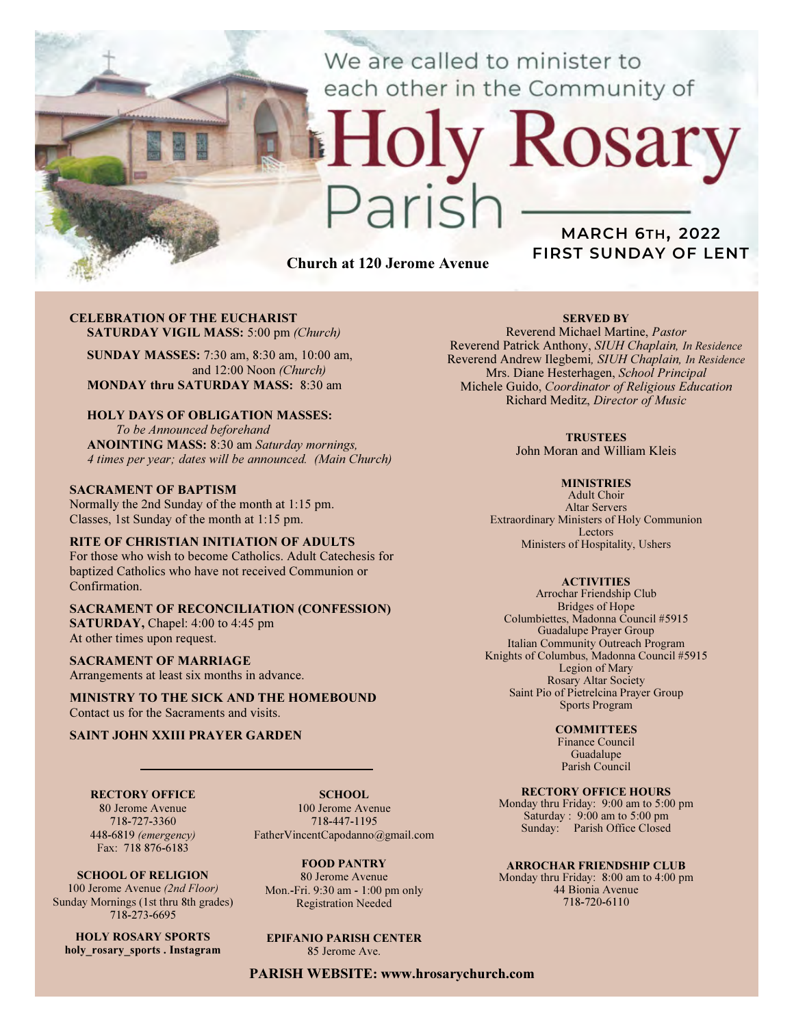We are called to minister to each other in the Community of

# Church at 120 Jerome Avenue

 $2715$ 

# MARCH 6TH, 2022 FIRST SUNDAY OF LENT

Rosary

### CELEBRATION OF THE EUCHARIST SATURDAY VIGIL MASS: 5:00 pm (Church)

SUNDAY MASSES: 7:30 am, 8:30 am, 10:00 am, and 12:00 Noon (Church) MONDAY thru SATURDAY MASS: 8:30 am

## HOLY DAYS OF OBLIGATION MASSES:

To be Announced beforehand ANOINTING MASS: 8:30 am Saturday mornings, 4 times per year; dates will be announced. (Main Church)

## SACRAMENT OF BAPTISM

Normally the 2nd Sunday of the month at 1:15 pm. Classes, 1st Sunday of the month at 1:15 pm.

## RITE OF CHRISTIAN INITIATION OF ADULTS

For those who wish to become Catholics. Adult Catechesis for baptized Catholics who have not received Communion or Confirmation.

### SACRAMENT OF RECONCILIATION (CONFESSION) SATURDAY, Chapel: 4:00 to 4:45 pm At other times upon request.

SACRAMENT OF MARRIAGE

Arrangements at least six months in advance.

MINISTRY TO THE SICK AND THE HOMEBOUND Contact us for the Sacraments and visits.

## SAINT JOHN XXIII PRAYER GARDEN

RECTORY OFFICE 80 Jerome Avenue 718-727-3360

448-6819 (emergency)

SCHOOL. 100 Jerome Avenue 718-447-1195 FatherVincentCapodanno@gmail.com

Fax: 718 876-6183 SCHOOL OF RELIGION 100 Jerome Avenue (2nd Floor) Sunday Mornings (1st thru 8th grades)

718-273-6695 HOLY ROSARY SPORTS

holy rosary sports . Instagram

FOOD PANTRY

80 Jerome Avenue Mon.-Fri. 9:30 am - 1:00 pm only Registration Needed

# EPIFANIO PARISH CENTER

85 Jerome Ave.

PARISH WEBSITE: www.hrosarychurch.com

## SERVED BY

Reverend Michael Martine, Pastor Reverend Patrick Anthony, SIUH Chaplain, In Residence Reverend Andrew Ilegbemi, SIUH Chaplain, In Residence Mrs. Diane Hesterhagen, School Principal Michele Guido, Coordinator of Religious Education Richard Meditz, Director of Music

#### **TRUSTEES**

John Moran and William Kleis

#### **MINISTRIES**

Adult Choir Altar Servers Extraordinary Ministers of Holy Communion Lectors Ministers of Hospitality, Ushers

## **ACTIVITIES**

Arrochar Friendship Club Bridges of Hope Columbiettes, Madonna Council #5915 Guadalupe Prayer Group Italian Community Outreach Program Knights of Columbus, Madonna Council #5915 Legion of Mary Rosary Altar Society Saint Pio of Pietrelcina Prayer Group Sports Program

#### **COMMITTEES**

Finance Council Guadalupe Parish Council

## RECTORY OFFICE HOURS

Monday thru Friday: 9:00 am to 5:00 pm Saturday : 9:00 am to 5:00 pm Sunday: Parish Office Closed

#### ARROCHAR FRIENDSHIP CLUB

Monday thru Friday: 8:00 am to 4:00 pm 44 Bionia Avenue 718-720-6110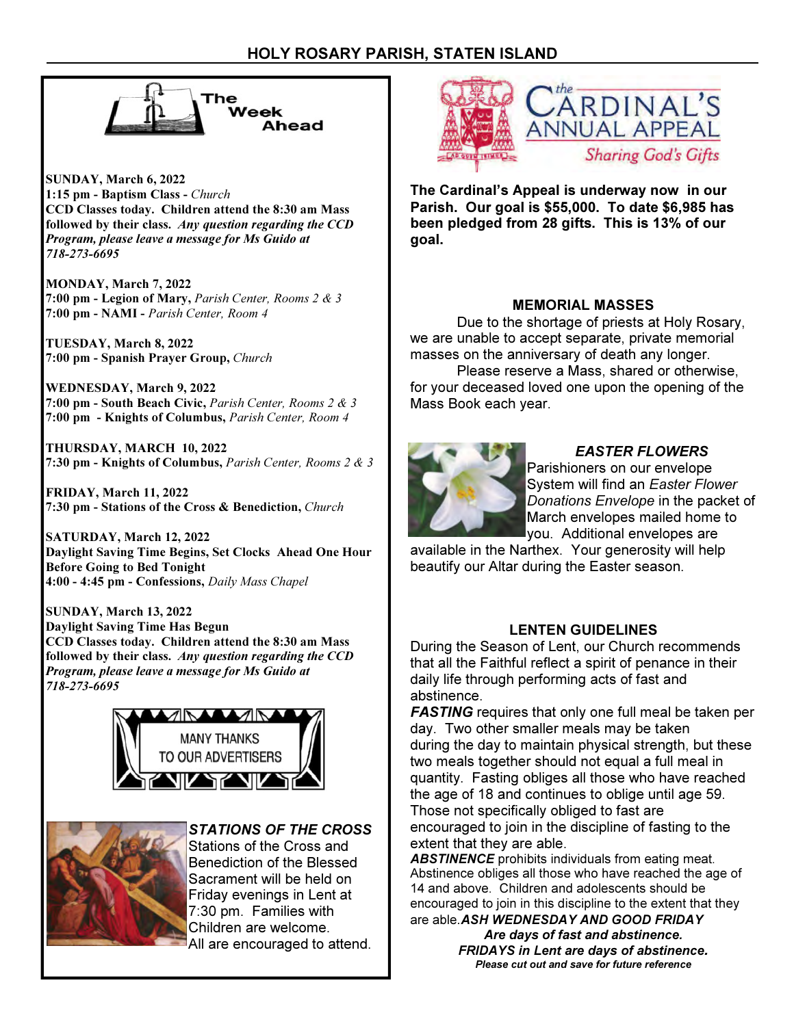

SUNDAY, March 6, 2022 1:15 pm - Baptism Class - Church CCD Classes today. Children attend the 8:30 am Mass followed by their class. Any question regarding the CCD Program, please leave a message for Ms Guido at 718-273-6695

MONDAY, March 7, 2022 7:00 pm - Legion of Mary, Parish Center, Rooms 2 & 3 7:00 pm - NAMI - Parish Center, Room 4

TUESDAY, March 8, 2022 7:00 pm - Spanish Prayer Group, Church

WEDNESDAY, March 9, 2022 7:00 pm - South Beach Civic, Parish Center, Rooms 2 & 3 7:00 pm - Knights of Columbus, Parish Center, Room 4

THURSDAY, MARCH 10, 2022 7:30 pm - Knights of Columbus, Parish Center, Rooms 2 & 3

FRIDAY, March 11, 2022 7:30 pm - Stations of the Cross & Benediction, Church

SATURDAY, March 12, 2022 Daylight Saving Time Begins, Set Clocks Ahead One Hour Before Going to Bed Tonight 4:00 - 4:45 pm - Confessions, Daily Mass Chapel

SUNDAY, March 13, 2022 Daylight Saving Time Has Begun CCD Classes today. Children attend the 8:30 am Mass followed by their class. Any question regarding the CCD Program, please leave a message for Ms Guido at 718-273-6695





STATIONS OF THE CROSS

Stations of the Cross and Benediction of the Blessed Sacrament will be held on Friday evenings in Lent at 7:30 pm. Families with Children are welcome. All are encouraged to attend.



The Cardinal's Appeal is underway now in our Parish. Our goal is \$55,000. To date \$6,985 has been pledged from 28 gifts. This is 13% of our goal.

## MEMORIAL MASSES

 Due to the shortage of priests at Holy Rosary, we are unable to accept separate, private memorial masses on the anniversary of death any longer.

 Please reserve a Mass, shared or otherwise, for your deceased loved one upon the opening of the Mass Book each year.



## EASTER FLOWERS

Parishioners on our envelope System will find an Easter Flower Donations Envelope in the packet of March envelopes mailed home to you. Additional envelopes are

available in the Narthex. Your generosity will help beautify our Altar during the Easter season.

## LENTEN GUIDELINES

During the Season of Lent, our Church recommends that all the Faithful reflect a spirit of penance in their daily life through performing acts of fast and abstinence.

**FASTING** requires that only one full meal be taken per day. Two other smaller meals may be taken during the day to maintain physical strength, but these two meals together should not equal a full meal in quantity. Fasting obliges all those who have reached the age of 18 and continues to oblige until age 59. Those not specifically obliged to fast are encouraged to join in the discipline of fasting to the extent that they are able.

**ABSTINENCE** prohibits individuals from eating meat. Abstinence obliges all those who have reached the age of 14 and above. Children and adolescents should be encouraged to join in this discipline to the extent that they are able. ASH WEDNESDAY AND GOOD FRIDAY

> Are days of fast and abstinence. FRIDAYS in Lent are days of abstinence. Please cut out and save for future reference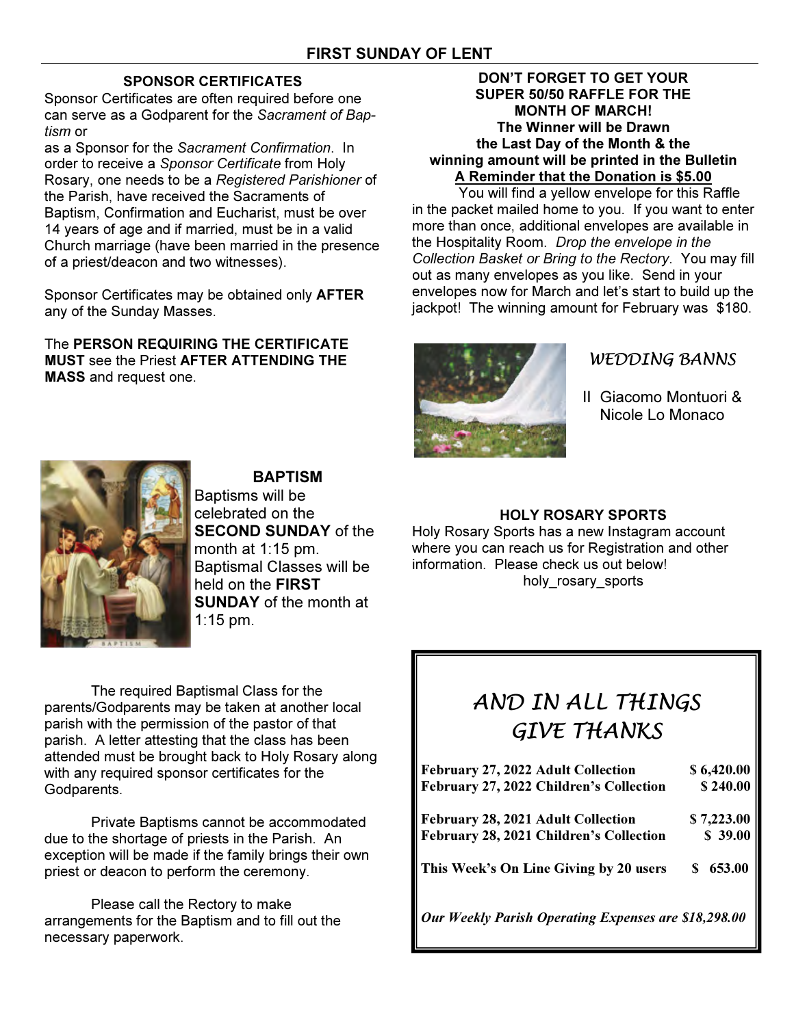# SPONSOR CERTIFICATES

Sponsor Certificates are often required before one can serve as a Godparent for the Sacrament of Baptism or

as a Sponsor for the Sacrament Confirmation. In order to receive a Sponsor Certificate from Holy Rosary, one needs to be a Registered Parishioner of the Parish, have received the Sacraments of Baptism, Confirmation and Eucharist, must be over 14 years of age and if married, must be in a valid Church marriage (have been married in the presence of a priest/deacon and two witnesses).

Sponsor Certificates may be obtained only AFTER any of the Sunday Masses.

The PERSON REQUIRING THE CERTIFICATE MUST see the Priest AFTER ATTENDING THE MASS and request one.

## DON'T FORGET TO GET YOUR SUPER 50/50 RAFFLE FOR THE MONTH OF MARCH! The Winner will be Drawn the Last Day of the Month & the winning amount will be printed in the Bulletin A Reminder that the Donation is \$5.00

 You will find a yellow envelope for this Raffle in the packet mailed home to you. If you want to enter more than once, additional envelopes are available in the Hospitality Room. Drop the envelope in the Collection Basket or Bring to the Rectory. You may fill out as many envelopes as you like. Send in your envelopes now for March and let's start to build up the jackpot! The winning amount for February was \$180.



# WEDDING BANNS

II Giacomo Montuori & Nicole Lo Monaco



BAPTISM Baptisms will be celebrated on the SECOND SUNDAY of the month at 1:15 pm. Baptismal Classes will be held on the FIRST **SUNDAY** of the month at

The required Baptismal Class for the parents/Godparents may be taken at another local parish with the permission of the pastor of that parish. A letter attesting that the class has been attended must be brought back to Holy Rosary along with any required sponsor certificates for the Godparents.

1:15 pm.

 Private Baptisms cannot be accommodated due to the shortage of priests in the Parish. An exception will be made if the family brings their own priest or deacon to perform the ceremony.

 Please call the Rectory to make arrangements for the Baptism and to fill out the necessary paperwork.

# HOLY ROSARY SPORTS

Holy Rosary Sports has a new Instagram account where you can reach us for Registration and other information. Please check us out below! holy rosary sports

# AND IN ALL THINGS GIVE THANKS

| February 27, 2022 Adult Collection                   | \$6,420.00   |
|------------------------------------------------------|--------------|
| February 27, 2022 Children's Collection              | \$240.00     |
| February 28, 2021 Adult Collection                   | \$7,223.00   |
| February 28, 2021 Children's Collection              | \$39.00      |
| This Week's On Line Giving by 20 users               | 653.00<br>S. |
| Our Weekly Parish Operating Expenses are \$18,298.00 |              |